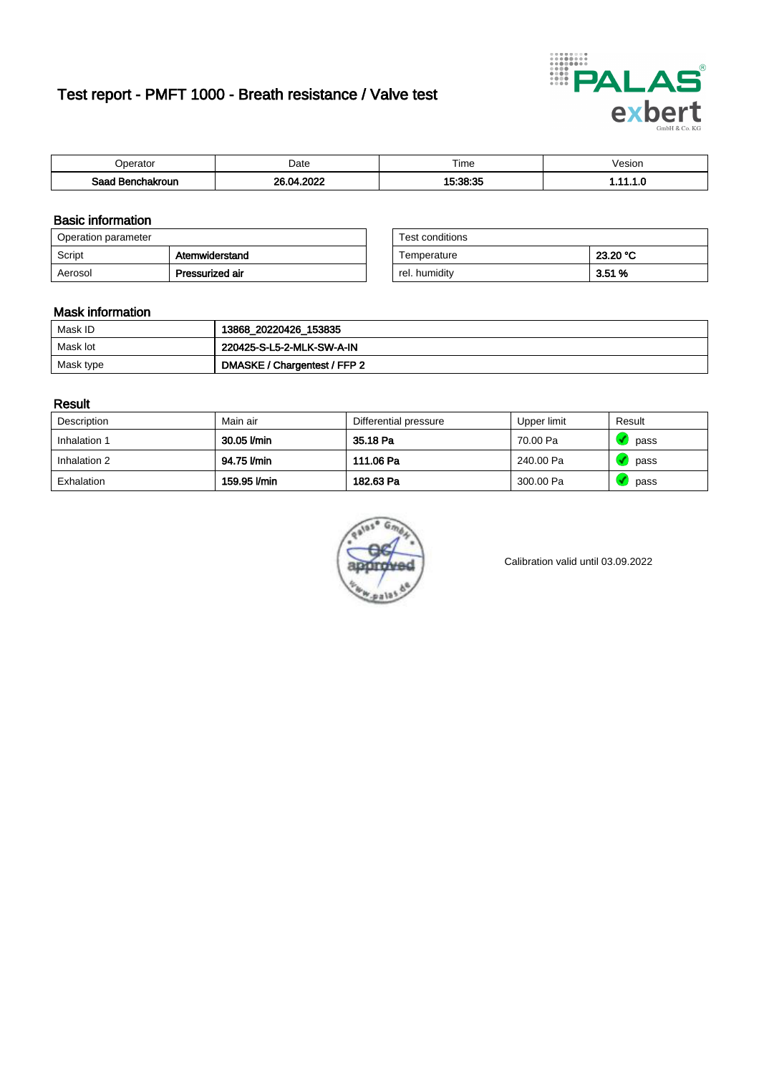# Test report - PMFT 1000 - Breath resistance / Valve test



| nerator <sup>'</sup>          | Date       | $- \cdot$<br><b>Time</b> | /esion |
|-------------------------------|------------|--------------------------|--------|
| Saad<br><b>ochakroun</b><br>. | റററ<br>ne. | 15.28.27                 | .      |

### Basic information

| Operation parameter |                 | Test conditions |          |
|---------------------|-----------------|-----------------|----------|
| Script              | Atemwiderstand  | Temperature     | 23.20 °C |
| Aerosol             | Pressurized air | rel. humidity   | 3.51%    |

| Test conditions |          |
|-----------------|----------|
| Temperature     | 23.20 °C |
| rel. humidity   | 3.51 %   |

#### Mask information

| Mask ID   | 13868_20220426_153835        |
|-----------|------------------------------|
| Mask lot  | 220425-S-L5-2-MLK-SW-A-IN    |
| Mask type | DMASKE / Chargentest / FFP 2 |

### Result

| Description  | Main air     | Differential pressure | Upper limit | Result |
|--------------|--------------|-----------------------|-------------|--------|
| Inhalation 1 | 30.05 l/min  | 35.18 Pa              | 70.00 Pa    | pass   |
| Inhalation 2 | 94.75 l/min  | 111.06 Pa             | 240.00 Pa   | pass   |
| Exhalation   | 159.95 l/min | 182.63 Pa             | 300.00 Pa   | pass   |



Calibration valid until 03.09.2022